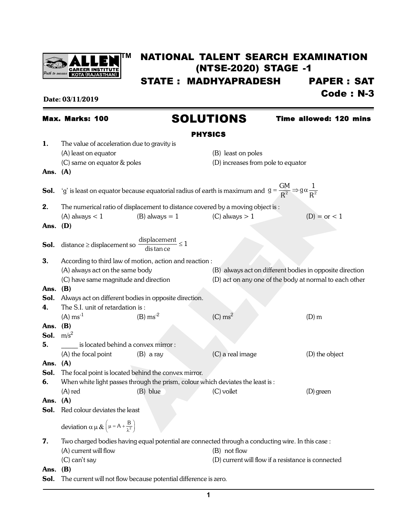

# **TM** NATIONAL TALENT SEARCH EXAMINATION (NTSE-2020) STAGE -1

STATE : MADHYAPRADESH PAPER : SAT

Date: 03/11/2019 **Code : N-3** 

## PHYSICS 1. The value of acceleration due to gravity is (A) least on equator (B) least on poles (C) same on equator & poles (D) increases from pole to equator Ans. (A) **Sol.** 'g' is least on equator because equatorial radius of earth is maximum and  $\overline{g} = \frac{GM}{R^2} \Rightarrow g \alpha \frac{1}{R^2}$  $R^2$   $R^3$  R  $=\frac{\Delta V}{\Delta q} \Rightarrow g \alpha$ **2.** The numerical ratio of displacement to distance covered by a moving object is : (A) always  $< 1$  (B) always  $= 1$  (C) always  $> 1$  (D)  $=$  or  $< 1$ Ans. (D) **Sol.** distance  $\geq$  displacement so  $\frac{\text{displacement}}{\text{distan ce}} \leq 1$ 3. According to third law of motion, action and reaction : (A) always act on the same body (B) always act on different bodies in opposite direction (C) have same magnitude and direction (D) act on any one of the body at normal to each other Ans. (B) **Sol.** Always act on different bodies in opposite direction. 4. The S.I. unit of retardation is :  $(A) \text{ ms}^{-1}$  (B)  $\text{ms}^{-2}$  (C)  $\text{ms}^2$ (D) m Ans. (B) Sol.  $m/s^2$ **5. b** is located behind a convex mirror : (A) the focal point (B) a ray (C) a real image (D) the object Ans. (A) Sol. The focal point is located behind the convex mirror. **6.** When white light passes through the prism, colour which deviates the least is: (A) red (B) blue (C) voilet (D) green Ans. (A) Sol. Red colour deviates the least deviation  $\alpha \mu \& \left(\mu = A + \frac{B}{\lambda^2}\right)$ 7. Two charged bodies having equal potential are connected through a conducting wire. In this case: (A) current will flow (B) not flow (C) can't say (D) current will flow if a resistance is connected Max. Marks: 100 SOLUTIONS Time allowed: 120 mins

Ans. (B)

Sol. The current will not flow because potential difference is zero.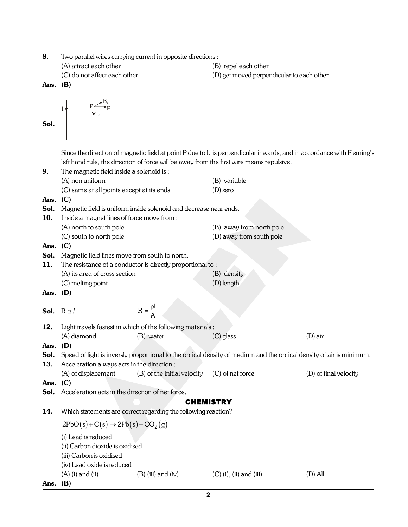- 8. Two parallel wires carrying current in opposite directions :
	- -

 $B_{1}$ F

- (A) attract each other (B) repel each other
- (C) do not affect each other (D) get moved perpendicular to each other
- Ans. (B)

Sol.

$$
I_1 \qquad P \qquad P \qquad I_2
$$

Since the direction of magnetic field at point P due to I $_1$  is perpendicular inwards, and in accordance with Fleming's left hand rule, the direction of force will be away from the first wire means repulsive.

| 9.                       | The magnetic field inside a solenoid is:                            |                                                                   |                                                                                                                     |                       |
|--------------------------|---------------------------------------------------------------------|-------------------------------------------------------------------|---------------------------------------------------------------------------------------------------------------------|-----------------------|
|                          | (A) non uniform                                                     |                                                                   | (B) variable                                                                                                        |                       |
|                          | (C) same at all points except at its ends                           |                                                                   | $(D)$ zero                                                                                                          |                       |
| Ans.                     | (C)                                                                 |                                                                   |                                                                                                                     |                       |
| Sol.                     |                                                                     | Magnetic field is uniform inside solenoid and decrease near ends. |                                                                                                                     |                       |
| 10.                      | Inside a magnet lines of force move from :                          |                                                                   |                                                                                                                     |                       |
|                          | (A) north to south pole                                             |                                                                   | (B) away from north pole                                                                                            |                       |
|                          | (C) south to north pole                                             |                                                                   | (D) away from south pole                                                                                            |                       |
| Ans.                     | (C)                                                                 |                                                                   |                                                                                                                     |                       |
| Sol.                     | Magnetic field lines move from south to north.                      |                                                                   |                                                                                                                     |                       |
| 11.                      |                                                                     | The resistance of a conductor is directly proportional to:        |                                                                                                                     |                       |
|                          | (A) its area of cross section                                       |                                                                   | (B) density                                                                                                         |                       |
|                          | (C) melting point                                                   |                                                                   | (D) length                                                                                                          |                       |
| Ans. $(D)$               |                                                                     |                                                                   |                                                                                                                     |                       |
|                          |                                                                     | $R = \frac{\rho l}{\Delta}$                                       |                                                                                                                     |                       |
| <b>Sol.</b> $R \alpha l$ |                                                                     |                                                                   |                                                                                                                     |                       |
| 12.                      |                                                                     | Light travels fastest in which of the following materials :       |                                                                                                                     |                       |
|                          | (A) diamond                                                         | (B) water                                                         | $(C)$ glass                                                                                                         | $(D)$ air             |
| Ans.                     | (D)                                                                 |                                                                   |                                                                                                                     |                       |
| Sol.                     |                                                                     |                                                                   | Speed of light is inversly proportional to the optical density of medium and the optical density of air is minimum. |                       |
| 13.                      | Acceleration always acts in the direction :                         |                                                                   |                                                                                                                     |                       |
|                          | (A) of displacement                                                 | (B) of the initial velocity                                       | (C) of net force                                                                                                    | (D) of final velocity |
| Ans.                     | (C)                                                                 |                                                                   |                                                                                                                     |                       |
| Sol.                     | Acceleration acts in the direction of net force.                    |                                                                   |                                                                                                                     |                       |
|                          |                                                                     |                                                                   | <b>CHEMISTRY</b>                                                                                                    |                       |
| 14.                      |                                                                     | Which statements are correct regarding the following reaction?    |                                                                                                                     |                       |
|                          | $2PbO(s) + C(s) \rightarrow 2Pb(s) + CO2(g)$<br>(i) Lead is reduced |                                                                   |                                                                                                                     |                       |
|                          |                                                                     |                                                                   |                                                                                                                     |                       |
|                          | (ii) Carbon dioxide is oxidised                                     |                                                                   |                                                                                                                     |                       |
|                          | (iii) Carbon is oxidised                                            |                                                                   |                                                                                                                     |                       |
|                          | (iv) Lead oxide is reduced                                          |                                                                   |                                                                                                                     |                       |
|                          | $(A)$ (i) and (ii)                                                  | $(B)$ (iii) and (iv)                                              | $(C)$ (i), (ii) and (iii)                                                                                           | $(D)$ All             |
| Ans.                     | (B)                                                                 |                                                                   |                                                                                                                     |                       |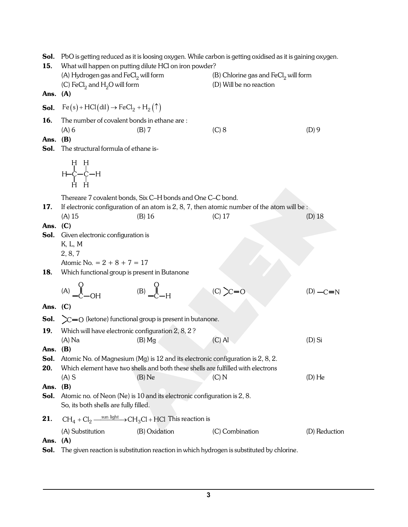| Sol.<br>15.        | PbO is getting reduced as it is loosing oxygen. While carbon is getting oxidised as it is gaining oxygen.<br>What will happen on putting dilute HCl on iron powder? |                                                                            |                                                                                                |               |  |
|--------------------|---------------------------------------------------------------------------------------------------------------------------------------------------------------------|----------------------------------------------------------------------------|------------------------------------------------------------------------------------------------|---------------|--|
|                    | (A) Hydrogen gas and $FeCl2$ will form<br>(C) $\text{FeCl}_2$ and $\text{H}_2\text{O}$ will form                                                                    |                                                                            | (B) Chlorine gas and $FeCl2$ will form<br>(D) Will be no reaction                              |               |  |
| Ans. $(A)$         |                                                                                                                                                                     |                                                                            |                                                                                                |               |  |
| Sol.               | $Fe(s)$ + HCl(dil) $\rightarrow$ FeCl <sub>2</sub> + H <sub>2</sub> ( $\uparrow$ )                                                                                  |                                                                            |                                                                                                |               |  |
| 16.                | The number of covalent bonds in ethane are:                                                                                                                         |                                                                            |                                                                                                |               |  |
|                    | $(A)$ 6                                                                                                                                                             | $(B)$ 7                                                                    | (C) 8                                                                                          | $(D)$ 9       |  |
| Ans.<br>Sol.       | (B)<br>The structural formula of ethane is-                                                                                                                         |                                                                            |                                                                                                |               |  |
|                    |                                                                                                                                                                     |                                                                            |                                                                                                |               |  |
|                    | $\begin{array}{c} \, H \, \, H \\ \, \, I \\ \, H \! - \! C \! - \! C \! - \! H \\ \, \, I \! , \, \, I \! , \end{array}$                                           |                                                                            |                                                                                                |               |  |
|                    |                                                                                                                                                                     | Thereare 7 covalent bonds, Six C-H bonds and One C-C bond.                 |                                                                                                |               |  |
| 17.                |                                                                                                                                                                     |                                                                            | If electronic configuration of an atom is $2, 8, 7$ , then atomic number of the atom will be : |               |  |
| Ans. $(C)$         | (A) 15                                                                                                                                                              | $(B)$ 16                                                                   | $(C)$ 17                                                                                       | (D) 18        |  |
| Sol.               | Given electronic configuration is                                                                                                                                   |                                                                            |                                                                                                |               |  |
|                    | K, L, M                                                                                                                                                             |                                                                            |                                                                                                |               |  |
|                    | 2, 8, 7                                                                                                                                                             |                                                                            |                                                                                                |               |  |
|                    | Atomic No. = $2 + 8 + 7 = 17$                                                                                                                                       |                                                                            |                                                                                                |               |  |
| 18.                | Which functional group is present in Butanone                                                                                                                       |                                                                            |                                                                                                |               |  |
|                    | $(A)$ $\begin{matrix} 0 \\ 1 \\ -C \end{matrix}$ $\rightarrow$ OH                                                                                                   | $(B)$ $\begin{matrix} 0 \\ -C \end{matrix}$                                | $(C)$ <sub><math>\sim</math></sub> $-C=0$                                                      | $(D)$ $-C=N$  |  |
| Ans. $(C)$         |                                                                                                                                                                     |                                                                            |                                                                                                |               |  |
| Sol.               |                                                                                                                                                                     | $\sum C = O$ (ketone) functional group is present in butanone.             |                                                                                                |               |  |
| 19.                | Which will have electronic configuration 2, 8, 2?                                                                                                                   |                                                                            |                                                                                                |               |  |
|                    | $(A)$ Na                                                                                                                                                            | $(B)$ Mg                                                                   | $(C)$ Al                                                                                       | $(D)$ Si      |  |
| Ans. $(B)$<br>Sol. |                                                                                                                                                                     |                                                                            |                                                                                                |               |  |
| 20.                | Atomic No. of Magnesium (Mg) is 12 and its electronic configuration is 2, 8, 2.<br>Which element have two shells and both these shells are fulfilled with electrons |                                                                            |                                                                                                |               |  |
|                    | $(A)$ S                                                                                                                                                             | $(B)$ Ne                                                                   | (C) N                                                                                          | $(D)$ He      |  |
| Ans.               | (B)                                                                                                                                                                 |                                                                            |                                                                                                |               |  |
| Sol.               | So, its both shells are fully filled.                                                                                                                               | Atomic no. of Neon (Ne) is 10 and its electronic configuration is 2, 8.    |                                                                                                |               |  |
| 21.                |                                                                                                                                                                     | $CH_4 + Cl_2 \xrightarrow{\text{sun light}} CH_3Cl + HCl$ This reaction is |                                                                                                |               |  |
|                    | (A) Substitution                                                                                                                                                    | (B) Oxidation                                                              | (C) Combination                                                                                | (D) Reduction |  |
| Ans.               | (A)                                                                                                                                                                 |                                                                            |                                                                                                |               |  |
| Sol.               | The given reaction is substitution reaction in which hydrogen is substituted by chlorine.                                                                           |                                                                            |                                                                                                |               |  |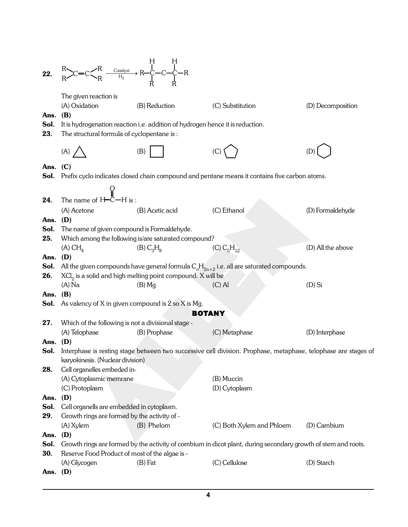| 22.          | $R$ $C=C\left\{\n\begin{array}{ccc}\nR & H & H \\ R & \xrightarrow{C}C\n\end{array}\n\right\}$                                                     |                                                                                                |                                                                                                               |                   |  |
|--------------|----------------------------------------------------------------------------------------------------------------------------------------------------|------------------------------------------------------------------------------------------------|---------------------------------------------------------------------------------------------------------------|-------------------|--|
| Ans.<br>Sol. | The given reaction is<br>(A) Oxidation<br>(B)                                                                                                      | (B) Reduction<br>It is hydrogenation reaction i.e. addition of hydrogen hence it is reduction. | (C) Substitution                                                                                              | (D) Decomposition |  |
| 23.          | The structural formula of cyclopentane is:                                                                                                         |                                                                                                |                                                                                                               |                   |  |
|              | (A)                                                                                                                                                | (B)                                                                                            |                                                                                                               |                   |  |
| Ans.<br>Sol. | (C)                                                                                                                                                |                                                                                                | Prefix cyclo indicates closed chain compound and pentane means it contains five carbon atoms.                 |                   |  |
|              |                                                                                                                                                    |                                                                                                |                                                                                                               |                   |  |
| 24.          | $\mathop{\parallel}\limits^{\bullet} _{m}$<br>The name of H <del>-</del> C-H is :                                                                  |                                                                                                |                                                                                                               |                   |  |
|              | (A) Acetone                                                                                                                                        | (B) Acetic acid                                                                                | (C) Ethanol                                                                                                   | (D) Formaldehyde  |  |
| Ans. $(D)$   |                                                                                                                                                    |                                                                                                |                                                                                                               |                   |  |
| Sol.         | The name of given compound is Formaldehyde.                                                                                                        |                                                                                                |                                                                                                               |                   |  |
| 25.          |                                                                                                                                                    | Which among the following is/are saturated compound?                                           |                                                                                                               |                   |  |
|              | $(A) CH_{A}$                                                                                                                                       | (B) C <sub>3</sub> H <sub>8</sub>                                                              | $(C) C_5H_{12}$                                                                                               | (D) All the above |  |
| Ans.         | (D)                                                                                                                                                |                                                                                                |                                                                                                               |                   |  |
| Sol.         |                                                                                                                                                    |                                                                                                | All the given compounds have general formula $C_nH_{2n+2}$ i.e. all are saturated compounds.                  |                   |  |
| 26.          |                                                                                                                                                    | $\mathrm{XCI}_2$ is a solid and high melting point compound. X will be                         |                                                                                                               |                   |  |
|              | $(A)$ Na<br>(B)                                                                                                                                    | $(B)$ Mg                                                                                       | $(C)$ Al                                                                                                      | $(D)$ Si          |  |
| Ans.<br>Sol. | As valency of X in given compound is 2 so X is Mg.                                                                                                 |                                                                                                |                                                                                                               |                   |  |
|              |                                                                                                                                                    |                                                                                                | <b>BOTANY</b>                                                                                                 |                   |  |
| 27.          | Which of the following is not a divisional stage -                                                                                                 |                                                                                                |                                                                                                               |                   |  |
|              | (A) Telophase                                                                                                                                      | (B) Prophase                                                                                   | (C) Metaphase                                                                                                 | (D) Interphase    |  |
| Ans.         | (D)                                                                                                                                                |                                                                                                |                                                                                                               |                   |  |
| Sol.         | Interphase is resting stage between two successive cell division. Prophase, metaphase, telophase are stages of<br>karyokinesis. (Nuclear division) |                                                                                                |                                                                                                               |                   |  |
| 28.          | Cell organelles embeded in-                                                                                                                        |                                                                                                |                                                                                                               |                   |  |
|              | (A) Cytoplasmic memrane                                                                                                                            |                                                                                                | (B) Muccin                                                                                                    |                   |  |
|              | (C) Protoplasm                                                                                                                                     |                                                                                                | (D) Cytoplasm                                                                                                 |                   |  |
| Ans.         | (D)                                                                                                                                                |                                                                                                |                                                                                                               |                   |  |
| Sol.         | Cell organells are embedded in cytoplasm.                                                                                                          |                                                                                                |                                                                                                               |                   |  |
| 29.          | Growth rings are formed by the activity of -                                                                                                       |                                                                                                |                                                                                                               |                   |  |
|              | (A) Xylem<br>(D)                                                                                                                                   | (B) Phelom                                                                                     | (C) Both Xylem and Phloem                                                                                     | (D) Cambium       |  |
| Ans.<br>Sol. |                                                                                                                                                    |                                                                                                | Growth rings are formed by the activity of combium in dicot plant, during secondary growth of stem and roots. |                   |  |
| 30.          | Reserve Food Product of most of the algae is -                                                                                                     |                                                                                                |                                                                                                               |                   |  |
|              | (A) Glycogen                                                                                                                                       | $(B)$ Fat                                                                                      | (C) Cellulose                                                                                                 | (D) Starch        |  |
| Ans.         | (D)                                                                                                                                                |                                                                                                |                                                                                                               |                   |  |
|              |                                                                                                                                                    |                                                                                                |                                                                                                               |                   |  |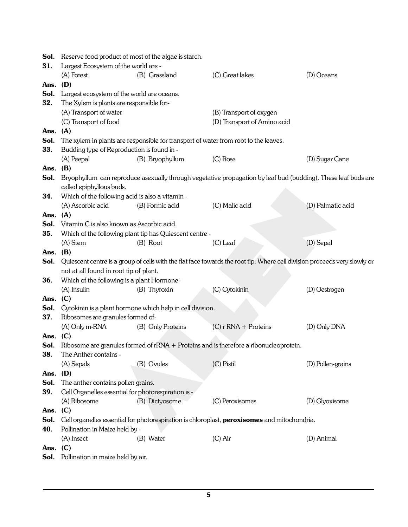| Sol.         | Reserve food product of most of the algae is starch.                |                                                                                     |                                                                                                                           |                   |  |
|--------------|---------------------------------------------------------------------|-------------------------------------------------------------------------------------|---------------------------------------------------------------------------------------------------------------------------|-------------------|--|
| 31.          | Largest Ecosystem of the world are -                                |                                                                                     |                                                                                                                           |                   |  |
|              | (A) Forest                                                          | (B) Grassland                                                                       | (C) Great lakes                                                                                                           | (D) Oceans        |  |
| Ans.         | (D)                                                                 |                                                                                     |                                                                                                                           |                   |  |
| Sol.         | Largest ecosystem of the world are oceans.                          |                                                                                     |                                                                                                                           |                   |  |
| 32.          | The Xylem is plants are responsible for-                            |                                                                                     |                                                                                                                           |                   |  |
|              | (A) Transport of water                                              |                                                                                     | (B) Transport of oxygen                                                                                                   |                   |  |
|              | (C) Transport of food                                               |                                                                                     | (D) Transport of Amino acid                                                                                               |                   |  |
| Ans.         | (A)                                                                 |                                                                                     |                                                                                                                           |                   |  |
| Sol.         |                                                                     | The xylem in plants are responsible for transport of water from root to the leaves. |                                                                                                                           |                   |  |
| 33.          | Budding type of Reproduction is found in -                          |                                                                                     |                                                                                                                           |                   |  |
|              | (A) Peepal                                                          | (B) Bryophyllum                                                                     | $(C)$ Rose                                                                                                                | (D) Sugar Cane    |  |
| Ans.         | (B)                                                                 |                                                                                     |                                                                                                                           |                   |  |
| Sol.         | called epiphyllous buds.                                            |                                                                                     | Bryophyllum can reproduce asexually through vegetative propagation by leaf bud (budding). These leaf buds are             |                   |  |
| 34.          | Which of the following acid is also a vitamin -                     |                                                                                     |                                                                                                                           |                   |  |
|              | (A) Ascorbic acid                                                   | (B) Formic acid                                                                     | (C) Malic acid                                                                                                            | (D) Palmatic acid |  |
| Ans. $(A)$   |                                                                     |                                                                                     |                                                                                                                           |                   |  |
| Sol.         | Vitamin C is also known as Ascorbic acid.                           |                                                                                     |                                                                                                                           |                   |  |
| 35.          |                                                                     | Which of the following plant tip has Quiescent centre -                             |                                                                                                                           |                   |  |
|              | (A) Stem                                                            | (B) Root                                                                            | $(C)$ Leaf                                                                                                                | (D) Sepal         |  |
| Ans.         | (B)                                                                 |                                                                                     |                                                                                                                           |                   |  |
| Sol.         |                                                                     |                                                                                     | Quiescent centre is a group of cells with the flat face towards the root tip. Where cell division proceeds very slowly or |                   |  |
|              | not at all found in root tip of plant.                              |                                                                                     |                                                                                                                           |                   |  |
| 36.          | Which of the following is a plant Hormone-                          |                                                                                     |                                                                                                                           |                   |  |
|              | (A) Insulin                                                         | (B) Thyroxin                                                                        | (C) Cytokinin                                                                                                             | (D) Oestrogen     |  |
| Ans.         | (C)                                                                 |                                                                                     |                                                                                                                           |                   |  |
| Sol.         |                                                                     | Cytokinin is a plant hormone which help in cell division.                           |                                                                                                                           |                   |  |
| 37.          | Ribosomes are granules formed of-                                   |                                                                                     |                                                                                                                           |                   |  |
|              | (A) Only m-RNA                                                      | (B) Only Proteins                                                                   | $(C)$ r RNA + Proteins                                                                                                    | (D) Only DNA      |  |
| Ans.         | (C)                                                                 |                                                                                     |                                                                                                                           |                   |  |
| Sol.         |                                                                     |                                                                                     | Ribosome are granules formed of $rRNA + Proteins$ and is therefore a ribonucleoprotein.                                   |                   |  |
| 38.          | The Anther contains -                                               |                                                                                     |                                                                                                                           |                   |  |
|              | (A) Sepals                                                          | (B) Ovules                                                                          | (C) Pistil                                                                                                                | (D) Pollen-grains |  |
| Ans.<br>Sol. | (D)<br>The anther contains pollen grains.                           |                                                                                     |                                                                                                                           |                   |  |
| 39.          |                                                                     |                                                                                     |                                                                                                                           |                   |  |
|              | Cell Organelles essential for photorespiration is -<br>(A) Ribosome |                                                                                     |                                                                                                                           |                   |  |
| Ans.         | (C)                                                                 | (B) Dictyosome                                                                      | (C) Peroxisomes                                                                                                           | (D) Glyoxisome    |  |
| Sol.         |                                                                     |                                                                                     | Cell organelles essential for photorespiration is chloroplast, peroxisomes and mitochondria.                              |                   |  |
| 40.          | Pollination in Maize held by -                                      |                                                                                     |                                                                                                                           |                   |  |
|              | (A) Insect                                                          | (B) Water                                                                           | $(C)$ Air                                                                                                                 | (D) Animal        |  |
| Ans.         | (C)                                                                 |                                                                                     |                                                                                                                           |                   |  |
| Sol.         | Pollination in maize held by air.                                   |                                                                                     |                                                                                                                           |                   |  |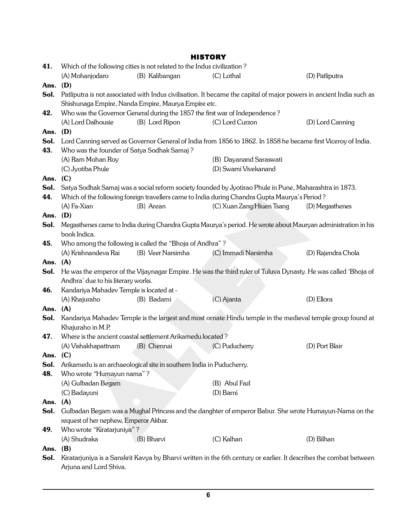|      | <b>HISTORY</b>                                                                                                 |                                                                             |                                                                                                                      |                    |  |  |
|------|----------------------------------------------------------------------------------------------------------------|-----------------------------------------------------------------------------|----------------------------------------------------------------------------------------------------------------------|--------------------|--|--|
| 41.  |                                                                                                                | Which of the following cities is not related to the Indus civilization?     |                                                                                                                      |                    |  |  |
|      | (A) Mohanjodaro                                                                                                | (B) Kalibangan                                                              | (C) Lothal                                                                                                           | (D) Patliputra     |  |  |
| Ans. | (D)                                                                                                            |                                                                             |                                                                                                                      |                    |  |  |
| Sol. |                                                                                                                |                                                                             | Patliputra is not associated with Indus civilisation. It became the capital of major powers in ancient India such as |                    |  |  |
|      |                                                                                                                | Shishunaga Empire, Nanda Empire, Maurya Empire etc.                         |                                                                                                                      |                    |  |  |
| 42.  |                                                                                                                | Who was the Governor General during the 1857 the first war of Independence? |                                                                                                                      |                    |  |  |
|      | (A) Lord Dalhousie                                                                                             | (B) Lord Ripon                                                              | (C) Lord Curzon                                                                                                      | (D) Lord Canning   |  |  |
| Ans. | (D)                                                                                                            |                                                                             |                                                                                                                      |                    |  |  |
| Sol. |                                                                                                                |                                                                             | Lord Canning served as Governor General of India from 1856 to 1862. In 1858 he became first Viceroy of India.        |                    |  |  |
| 43.  | Who was the founder of Satya Sodhak Samaj?                                                                     |                                                                             |                                                                                                                      |                    |  |  |
|      | (A) Ram Mohan Roy                                                                                              |                                                                             | (B) Dayanand Saraswati                                                                                               |                    |  |  |
|      | (C) Jyotiba Phule                                                                                              |                                                                             | (D) Swami Vivekanand                                                                                                 |                    |  |  |
| Ans. | (C)                                                                                                            |                                                                             |                                                                                                                      |                    |  |  |
| Sol. |                                                                                                                |                                                                             | Satya Sodhak Samaj was a social reform society founded by Jyotirao Phule in Pune, Maharashtra in 1873.               |                    |  |  |
| 44.  |                                                                                                                |                                                                             | Which of the following foreign travellers came to India during Chandra Gupta Maurya's Period?                        |                    |  |  |
|      | (A) Fa-Xian                                                                                                    | (B) Arean                                                                   | (C) Xuan Zang/Hiuen Tsang                                                                                            | (D) Megasthenes    |  |  |
| Ans. | (D)                                                                                                            |                                                                             |                                                                                                                      |                    |  |  |
| Sol. |                                                                                                                |                                                                             | Megasthenes came to India during Chandra Gupta Maurya's period. He wrote about Mauryan administration in his         |                    |  |  |
|      | book Indica.                                                                                                   |                                                                             |                                                                                                                      |                    |  |  |
| 45.  |                                                                                                                | Who among the following is called the "Bhoja of Andhra"?                    |                                                                                                                      |                    |  |  |
|      | (A) Krishnandeva Rai                                                                                           | (B) Veer Narsimha                                                           | (C) Immadi Narsimha                                                                                                  | (D) Rajendra Chola |  |  |
| Ans. | (A)                                                                                                            |                                                                             |                                                                                                                      |                    |  |  |
| Sol. | He was the emperor of the Vijaynagar Empire. He was the third ruler of Tuluva Dynasty. He was called 'Bhoja of |                                                                             |                                                                                                                      |                    |  |  |
|      | Andhra' due to his literary works.                                                                             |                                                                             |                                                                                                                      |                    |  |  |
| 46.  | Kandariya Mahadev Temple is located at -                                                                       |                                                                             |                                                                                                                      |                    |  |  |
|      | (A) Khajuraho                                                                                                  | (B) Badami                                                                  | (C) Ajanta                                                                                                           | (D) Ellora         |  |  |
| Ans. | (A)                                                                                                            |                                                                             |                                                                                                                      |                    |  |  |
| Sol. |                                                                                                                |                                                                             | Kandariya Mahadev Temple is the largest and most ornate Hindu temple in the medieval temple group found at           |                    |  |  |
|      | Khajuraho in M.P.                                                                                              |                                                                             |                                                                                                                      |                    |  |  |
| 47.  |                                                                                                                | Where is the ancient coastal settlement Arikamedu located?                  |                                                                                                                      |                    |  |  |
|      | (A) Vishakhapattnam                                                                                            | (B) Chennai                                                                 | (C) Puducherry                                                                                                       | (D) Port Blair     |  |  |
| Ans. | (C)                                                                                                            |                                                                             |                                                                                                                      |                    |  |  |
| Sol. |                                                                                                                | Arikamedu is an archaeological site in southern India in Puducherry.        |                                                                                                                      |                    |  |  |
| 48.  | Who wrote "Humayun nama"?                                                                                      |                                                                             |                                                                                                                      |                    |  |  |
|      | (A) Gulbadan Begam                                                                                             |                                                                             | (B) Abul Fazl                                                                                                        |                    |  |  |
|      | (C) Badayuni                                                                                                   |                                                                             | (D) Barni                                                                                                            |                    |  |  |
| Ans. | (A)                                                                                                            |                                                                             |                                                                                                                      |                    |  |  |
| Sol. |                                                                                                                |                                                                             | Gulbadan Begam was a Mughal Princess and the danghter of emperor Babur. She wrote Humayun-Nama on the                |                    |  |  |
|      | request of her nephew, Emperor Akbar.                                                                          |                                                                             |                                                                                                                      |                    |  |  |
| 49.  | Who wrote "Kiratarjuniya"?                                                                                     |                                                                             |                                                                                                                      |                    |  |  |
|      | (A) Shudraka                                                                                                   | (B) Bharvi                                                                  | (C) Kalhan                                                                                                           | (D) Bilhan         |  |  |
| Ans. | (B)                                                                                                            |                                                                             |                                                                                                                      |                    |  |  |
| Sol. | Ariuna and Lord Shiva                                                                                          |                                                                             | Kiratarjuniya is a Sanskrit Kavya by Bharvi written in the 6th century or earlier. It describes the combat between   |                    |  |  |

Arjuna and Lord Shiva.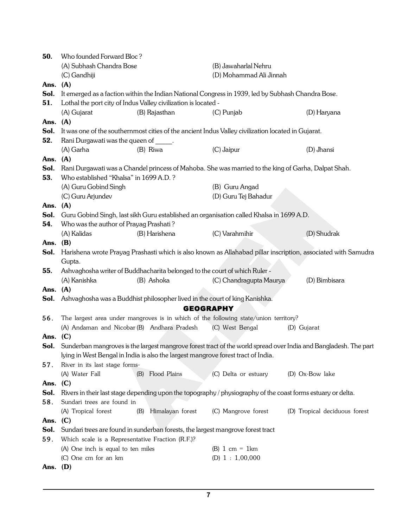| 50.         | Who founded Forward Bloc?                                                                                    |                                                                                   |                                                                                                     |                                                                                                                       |  |
|-------------|--------------------------------------------------------------------------------------------------------------|-----------------------------------------------------------------------------------|-----------------------------------------------------------------------------------------------------|-----------------------------------------------------------------------------------------------------------------------|--|
|             | (A) Subhash Chandra Bose                                                                                     |                                                                                   | (B) Jawaharlal Nehru                                                                                |                                                                                                                       |  |
|             | (C) Gandhiji                                                                                                 |                                                                                   | (D) Mohammad Ali Jinnah                                                                             |                                                                                                                       |  |
| Ans.        | (A)                                                                                                          |                                                                                   |                                                                                                     |                                                                                                                       |  |
| Sol.        |                                                                                                              |                                                                                   | It emerged as a faction within the Indian National Congress in 1939, led by Subhash Chandra Bose.   |                                                                                                                       |  |
| 51.         |                                                                                                              | Lothal the port city of Indus Valley civilization is located -                    |                                                                                                     |                                                                                                                       |  |
|             | (A) Gujarat                                                                                                  | (B) Rajasthan                                                                     | (C) Punjab                                                                                          | (D) Haryana                                                                                                           |  |
| Ans.        | (A)                                                                                                          |                                                                                   |                                                                                                     |                                                                                                                       |  |
| Sol.        |                                                                                                              |                                                                                   | It was one of the southernmost cities of the ancient Indus Valley civilization located in Gujarat.  |                                                                                                                       |  |
| 52.         | Rani Durgawati was the queen of _____.                                                                       |                                                                                   |                                                                                                     |                                                                                                                       |  |
|             | (A) Garha                                                                                                    | (B) Riwa                                                                          | (C) Jaipur                                                                                          | (D) Jhansi                                                                                                            |  |
| Ans.        | (A)                                                                                                          |                                                                                   |                                                                                                     |                                                                                                                       |  |
| Sol.        |                                                                                                              |                                                                                   | Rani Durgawati was a Chandel princess of Mahoba. She was married to the king of Garha, Dalpat Shah. |                                                                                                                       |  |
| 53.         | Who established "Khalsa" in 1699 A.D. ?                                                                      |                                                                                   |                                                                                                     |                                                                                                                       |  |
|             | (A) Guru Gobind Singh                                                                                        |                                                                                   | (B) Guru Angad                                                                                      |                                                                                                                       |  |
|             | (C) Guru Arjundev                                                                                            |                                                                                   | (D) Guru Tej Bahadur                                                                                |                                                                                                                       |  |
| Ans. (A)    |                                                                                                              |                                                                                   |                                                                                                     |                                                                                                                       |  |
| Sol.        |                                                                                                              |                                                                                   | Guru Gobind Singh, last sikh Guru established an organisation called Khalsa in 1699 A.D.            |                                                                                                                       |  |
| 54.         | Who was the author of Prayag Prashati?                                                                       |                                                                                   |                                                                                                     |                                                                                                                       |  |
|             | (A) Kalidas                                                                                                  | (B) Harishena                                                                     | (C) Varahmihir                                                                                      | (D) Shudrak                                                                                                           |  |
| Ans.        | (B)                                                                                                          |                                                                                   |                                                                                                     |                                                                                                                       |  |
| Sol.        |                                                                                                              |                                                                                   |                                                                                                     | Harishena wrote Prayag Prashasti which is also known as Allahabad pillar inscription, associated with Samudra         |  |
|             | Gupta.                                                                                                       |                                                                                   |                                                                                                     |                                                                                                                       |  |
| 55.         |                                                                                                              | Ashvaghosha writer of Buddhacharita belonged to the court of which Ruler -        |                                                                                                     |                                                                                                                       |  |
|             | (A) Kanishka                                                                                                 | (B) Ashoka                                                                        | (C) Chandragupta Maurya                                                                             | (D) Bimbisara                                                                                                         |  |
| Ans.        | (A)                                                                                                          |                                                                                   |                                                                                                     |                                                                                                                       |  |
| Sol.        |                                                                                                              | Ashvaghosha was a Buddhist philosopher lived in the court of king Kanishka.       |                                                                                                     |                                                                                                                       |  |
|             |                                                                                                              |                                                                                   | <b>GEOGRAPHY</b>                                                                                    |                                                                                                                       |  |
| 56.         |                                                                                                              |                                                                                   | The largest area under mangroves is in which of the following state/union territory?                |                                                                                                                       |  |
|             | (A) Andaman and Nicobar (B) Andhara Pradesh                                                                  |                                                                                   | (C) West Bengal                                                                                     | (D) Gujarat                                                                                                           |  |
| Ans.        | (C)                                                                                                          |                                                                                   |                                                                                                     |                                                                                                                       |  |
|             |                                                                                                              |                                                                                   |                                                                                                     | Sol. Sunderban mangroves is the largest mangrove forest tract of the world spread over India and Bangladesh. The part |  |
|             |                                                                                                              | lying in West Bengal in India is also the largest mangrove forest tract of India. |                                                                                                     |                                                                                                                       |  |
| 57.         | River in its last stage forms-                                                                               |                                                                                   |                                                                                                     |                                                                                                                       |  |
|             | (A) Water Fall                                                                                               | (B) Flood Plains                                                                  | (C) Delta or estuary                                                                                | (D) Ox-Bow lake                                                                                                       |  |
| Ans.        |                                                                                                              |                                                                                   |                                                                                                     |                                                                                                                       |  |
| Sol.        | (C)                                                                                                          |                                                                                   |                                                                                                     |                                                                                                                       |  |
| 58.         | Rivers in their last stage depending upon the topography / physiography of the coast forms estuary or delta. |                                                                                   |                                                                                                     |                                                                                                                       |  |
|             | Sundari trees are found in                                                                                   | (B)                                                                               |                                                                                                     |                                                                                                                       |  |
|             | (A) Tropical forest                                                                                          | Himalayan forest                                                                  | (C) Mangrove forest                                                                                 | (D) Tropical deciduous forest                                                                                         |  |
| Ans.        | (C)                                                                                                          |                                                                                   |                                                                                                     |                                                                                                                       |  |
| Sol.<br>59. |                                                                                                              | Sundari trees are found in sunderban forests, the largest mangrove forest tract   |                                                                                                     |                                                                                                                       |  |
|             | Which scale is a Representative Fraction (R.F.)?                                                             |                                                                                   |                                                                                                     |                                                                                                                       |  |
|             | (A) One inch is equal to ten miles                                                                           |                                                                                   | (B) $1 \text{ cm} = 1 \text{ km}$                                                                   |                                                                                                                       |  |
|             | (C) One cm for an km                                                                                         |                                                                                   | (D) $1:1,00,000$                                                                                    |                                                                                                                       |  |
| Ans.        | (D)                                                                                                          |                                                                                   |                                                                                                     |                                                                                                                       |  |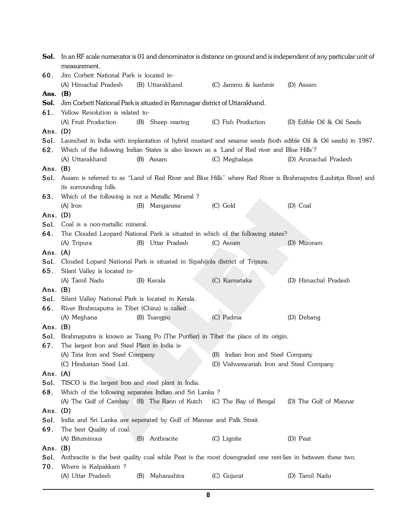| Sol.               | In an RF scale numerator is 01 and denominator is distance on ground and is independent of any particular unit of<br>measurement. |                                                                                                           |                                          |                                                                                                                |  |  |
|--------------------|-----------------------------------------------------------------------------------------------------------------------------------|-----------------------------------------------------------------------------------------------------------|------------------------------------------|----------------------------------------------------------------------------------------------------------------|--|--|
| 60.                | Jim Corbett National Park is located in-                                                                                          |                                                                                                           |                                          |                                                                                                                |  |  |
|                    | (A) Himachal Pradesh                                                                                                              | (B) Uttarakhand                                                                                           | (C) Jammu & kashmir                      | (D) Assam                                                                                                      |  |  |
| Ans. $(B)$         |                                                                                                                                   |                                                                                                           |                                          |                                                                                                                |  |  |
| Sol.               |                                                                                                                                   | Jim Corbett National Park is situated in Ramnagar district of Uttarakhand.                                |                                          |                                                                                                                |  |  |
| 61.                | Yellow Revolution is related to-                                                                                                  |                                                                                                           |                                          |                                                                                                                |  |  |
|                    | (A) Fruit Production                                                                                                              | (B) Sheep rearing                                                                                         | (C) Fish Production                      | (D) Edible Oil & Oil Seeds                                                                                     |  |  |
| Ans. $(D)$         |                                                                                                                                   |                                                                                                           |                                          |                                                                                                                |  |  |
| Sol.               |                                                                                                                                   |                                                                                                           |                                          | Launched in India with implantation of hybrid mustard and sesame seeds (both edible Oil & Oil seeds) in 1987.  |  |  |
| 62.                |                                                                                                                                   | Which of the following Indian States is also known as a 'Land of Red river and Blue Hills'?               |                                          |                                                                                                                |  |  |
|                    | (A) Uttarakhand                                                                                                                   | (B) Assam                                                                                                 | (C) Meghalaya                            | (D) Arunachal Pradesh                                                                                          |  |  |
| Ans. (B)           |                                                                                                                                   |                                                                                                           |                                          |                                                                                                                |  |  |
| Sol.               |                                                                                                                                   |                                                                                                           |                                          | Assam is referred to as "Land of Red River and Blue Hills" where Red River is Brahmaputra (Lauhitya River) and |  |  |
|                    | its surrounding hills.                                                                                                            |                                                                                                           |                                          |                                                                                                                |  |  |
| 63.                | Which of the following is not a Metallic Mineral?                                                                                 |                                                                                                           |                                          |                                                                                                                |  |  |
|                    | $(A)$ Iron                                                                                                                        | (B) Manganese                                                                                             | (C) Gold                                 | (D) Coal                                                                                                       |  |  |
| Ans. $(D)$         |                                                                                                                                   |                                                                                                           |                                          |                                                                                                                |  |  |
| Sol. .             | Coal is a non-metallic mineral.                                                                                                   |                                                                                                           |                                          |                                                                                                                |  |  |
| 64.                |                                                                                                                                   | The Clouded Leopard National Park is situated in which of the following states?                           |                                          |                                                                                                                |  |  |
|                    | (A) Tripura                                                                                                                       | (B) Uttar Pradesh                                                                                         | (C) Assam                                | (D) Mizoram                                                                                                    |  |  |
| Ans. $(A)$<br>Sol. |                                                                                                                                   | Clouded Lopard National Park is situated in Sipahijola district of Tripura.                               |                                          |                                                                                                                |  |  |
| 65.                | Silent Valley is located in-                                                                                                      |                                                                                                           |                                          |                                                                                                                |  |  |
|                    | (A) Tamil Nadu                                                                                                                    | (B) Kerala                                                                                                | (C) Karnataka                            | (D) Himachal Pradesh                                                                                           |  |  |
| Ans. $(B)$         |                                                                                                                                   |                                                                                                           |                                          |                                                                                                                |  |  |
| Sol.               | Silent Valley National Park is located in Kerala.                                                                                 |                                                                                                           |                                          |                                                                                                                |  |  |
| 66.                | River Brahmaputra in Tibet (China) is called                                                                                      |                                                                                                           |                                          |                                                                                                                |  |  |
|                    | (A) Meghana                                                                                                                       | (B) Tsangpo                                                                                               | (C) Padma                                | (D) Debang                                                                                                     |  |  |
| Ans. (B)           |                                                                                                                                   |                                                                                                           |                                          |                                                                                                                |  |  |
| Sol.               |                                                                                                                                   | Brahmaputra is known as Tsang Po (The Purifier) in Tibet the place of its origin.                         |                                          |                                                                                                                |  |  |
| 67.                | The largest Iron and Steel Plant in India is-                                                                                     |                                                                                                           |                                          |                                                                                                                |  |  |
|                    | (A) Tata Iron and Steel Company                                                                                                   |                                                                                                           | (B) Indian Iron and Steel Company        |                                                                                                                |  |  |
|                    | (C) Hindustan Steel Ltd.                                                                                                          |                                                                                                           | (D) Vishveswariah Iron and Steel Company |                                                                                                                |  |  |
| Ans. (A)           |                                                                                                                                   |                                                                                                           |                                          |                                                                                                                |  |  |
| Sol.               | TISCO is the largest Iron and steel plant in India.                                                                               |                                                                                                           |                                          |                                                                                                                |  |  |
| 68.                |                                                                                                                                   | Which of the following separates Indian and Sri Lanka?                                                    |                                          |                                                                                                                |  |  |
|                    | (A) The Gulf of Cambay (B) The Rann of Kutch                                                                                      |                                                                                                           | (C) The Bay of Bengal                    | (D) The Gulf of Mannar                                                                                         |  |  |
| Ans. $(D)$         |                                                                                                                                   |                                                                                                           |                                          |                                                                                                                |  |  |
| Sol.               | India and Sri Lanka are seperated by Gulf of Mannar and Palk Strait.                                                              |                                                                                                           |                                          |                                                                                                                |  |  |
| 69.                | The best Quality of coal.                                                                                                         | Anthracite                                                                                                |                                          |                                                                                                                |  |  |
| Ans. $(B)$         | (A) Bituminous                                                                                                                    | (B)                                                                                                       | (C) Lignite                              | (D) Peat                                                                                                       |  |  |
| Sol.               |                                                                                                                                   | Anthracite is the best quality coal while Peat is the most downgraded one rest-lies in between these two. |                                          |                                                                                                                |  |  |
| 70.                | Where is Kalpakkam?                                                                                                               |                                                                                                           |                                          |                                                                                                                |  |  |
|                    | (A) Uttar Pradesh                                                                                                                 | Maharashtra<br>(B)                                                                                        | (C) Gujarat                              | (D) Tamil Nadu                                                                                                 |  |  |
|                    |                                                                                                                                   |                                                                                                           |                                          |                                                                                                                |  |  |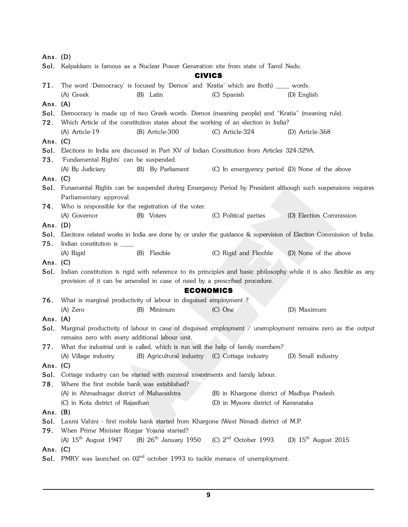| Ans. $(D)$ |                                                                                                                                     |                                                                           |                                                                                              |                                                                                                                   |  |  |
|------------|-------------------------------------------------------------------------------------------------------------------------------------|---------------------------------------------------------------------------|----------------------------------------------------------------------------------------------|-------------------------------------------------------------------------------------------------------------------|--|--|
|            | Sol. Kalpakkam is famous as a Nuclear Power Generation site from state of Tamil Nadu.                                               |                                                                           |                                                                                              |                                                                                                                   |  |  |
|            | <b>CIVICS</b>                                                                                                                       |                                                                           |                                                                                              |                                                                                                                   |  |  |
| 71.        | The word 'Democracy' is focused by 'Demos' and 'Kratia' which are (both) ____ words.                                                |                                                                           |                                                                                              |                                                                                                                   |  |  |
|            | (A) Greek                                                                                                                           | (B) Latin                                                                 | (C) Spanish                                                                                  | (D) English                                                                                                       |  |  |
| Ans. $(A)$ |                                                                                                                                     |                                                                           |                                                                                              |                                                                                                                   |  |  |
| Sol.       |                                                                                                                                     |                                                                           | Democracy is made up of two Greek words. Demos (meaning people) and "Kratia" (meaning rule). |                                                                                                                   |  |  |
| 72.        |                                                                                                                                     |                                                                           | Which Article of the constitution states about the working of an election in India?          |                                                                                                                   |  |  |
|            | (A) Article-19                                                                                                                      | (B) Article-300                                                           | (C) Article-324                                                                              | (D) Article-368                                                                                                   |  |  |
| Ans. $(C)$ |                                                                                                                                     |                                                                           |                                                                                              |                                                                                                                   |  |  |
| Sol.       |                                                                                                                                     |                                                                           | Elections in India are discussed in Part XV of Indian Constitution from Articles 324-329A.   |                                                                                                                   |  |  |
| 73.        | 'Fundamental Rights' can be suspended.                                                                                              |                                                                           |                                                                                              |                                                                                                                   |  |  |
|            | (A) By Judiciary                                                                                                                    | (B) By Parliament                                                         | (C) In emergyency period (D) None of the above                                               |                                                                                                                   |  |  |
| Ans. $(C)$ |                                                                                                                                     |                                                                           |                                                                                              |                                                                                                                   |  |  |
|            |                                                                                                                                     |                                                                           |                                                                                              | Sol. Funamental Rights can be suspended during Emergency Period by President although such suspensions requires   |  |  |
|            | Parliamentary approval.                                                                                                             |                                                                           |                                                                                              |                                                                                                                   |  |  |
| 74.        | Who is responsible for the registration of the voter.                                                                               |                                                                           |                                                                                              |                                                                                                                   |  |  |
|            | (A) Governor                                                                                                                        | (B) Voters                                                                | (C) Political parties                                                                        | (D) Election Commission                                                                                           |  |  |
| Ans. $(D)$ |                                                                                                                                     |                                                                           |                                                                                              |                                                                                                                   |  |  |
| Sol.       |                                                                                                                                     |                                                                           |                                                                                              | Elections related works in India are done by or under the guidance & supervision of Election Commission of India. |  |  |
| 75.        |                                                                                                                                     |                                                                           |                                                                                              |                                                                                                                   |  |  |
|            | (A) Rigid                                                                                                                           | (B) Flexible                                                              | (C) Rigid and Flexible                                                                       | (D) None of the above                                                                                             |  |  |
| Ans. $(C)$ |                                                                                                                                     |                                                                           |                                                                                              |                                                                                                                   |  |  |
| Sol.       | Indian constitution is rigid with reference to its principles and basic philosophy while it is also flexible as any                 |                                                                           |                                                                                              |                                                                                                                   |  |  |
|            |                                                                                                                                     | provision of it can be amended in case of need by a prescribed procedure. |                                                                                              |                                                                                                                   |  |  |
|            |                                                                                                                                     | <b>ECONOMICS</b>                                                          |                                                                                              |                                                                                                                   |  |  |
| 76.        | What is marginal productivity of labour in disguised employment?                                                                    |                                                                           |                                                                                              |                                                                                                                   |  |  |
|            | (A) Zero                                                                                                                            | (B) Minimum                                                               | $(C)$ One                                                                                    | (D) Maximum                                                                                                       |  |  |
| Ans. $(A)$ |                                                                                                                                     |                                                                           |                                                                                              |                                                                                                                   |  |  |
| Sol.       |                                                                                                                                     |                                                                           |                                                                                              | Marginal productivity of labour in case of disguised employment / unemployment remains zero as the output         |  |  |
|            | remains zero with every additional labour unit.                                                                                     |                                                                           |                                                                                              |                                                                                                                   |  |  |
| 77.        |                                                                                                                                     |                                                                           | What the industrial unit is called, which is run will the help of family members?            |                                                                                                                   |  |  |
|            | (A) Village industry                                                                                                                | (B) Agricultural industry (C) Cottage industry                            |                                                                                              | (D) Small industry                                                                                                |  |  |
| Ans. $(C)$ |                                                                                                                                     |                                                                           |                                                                                              |                                                                                                                   |  |  |
| Sol.       | Cottage industry can be started with minimal investments and family labour.                                                         |                                                                           |                                                                                              |                                                                                                                   |  |  |
| 78.        | Where the first mobile bank was established?                                                                                        |                                                                           |                                                                                              |                                                                                                                   |  |  |
|            | (A) in Ahmadnagar district of Maharashtra                                                                                           |                                                                           | (B) in Khargone district of Madhya Pradesh                                                   |                                                                                                                   |  |  |
|            | (C) in Kota district of Rajasthan                                                                                                   |                                                                           | (D) in Mysore district of Karanataka                                                         |                                                                                                                   |  |  |
| Ans. $(B)$ |                                                                                                                                     |                                                                           |                                                                                              |                                                                                                                   |  |  |
| Sol.       |                                                                                                                                     |                                                                           | Laxmi Vahini - first mobile bank started from Khargone (West Nimad) district of M.P.         |                                                                                                                   |  |  |
| 79.        | When Prime Minister Rozgar Yojana started?                                                                                          |                                                                           |                                                                                              |                                                                                                                   |  |  |
|            | (B) $26^{\text{th}}$ January 1950<br>(A) $15^{\text{th}}$ August 1947<br>(C) $2nd$ October 1993<br>(D) $15^{\text{th}}$ August 2015 |                                                                           |                                                                                              |                                                                                                                   |  |  |
| Ans. $(C)$ |                                                                                                                                     |                                                                           |                                                                                              |                                                                                                                   |  |  |
|            | Sol. PMRY was launched on 02 <sup>nd</sup> october 1993 to tackle menace of unemployment.                                           |                                                                           |                                                                                              |                                                                                                                   |  |  |
|            |                                                                                                                                     |                                                                           |                                                                                              |                                                                                                                   |  |  |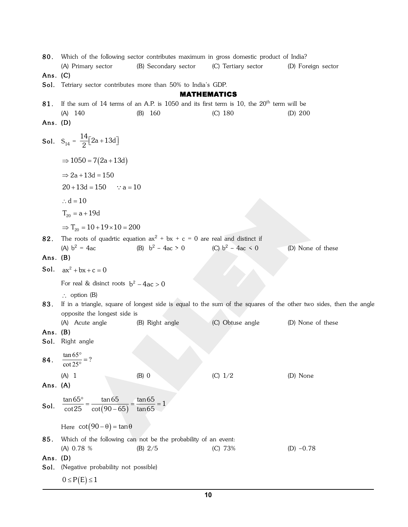80. Which of the following sector contributes maximum in gross domestic product of India? (C) Tertiary sector (A) Primary sector (B) Secondary sector (D) Foreign sector Ans.  $(C)$ Sol. Tetriary sector contributes more than 50% to India's GDP. **MATHEMATICS** If the sum of 14 terms of an A.P. is 1050 and its first term is 10, the 20<sup>th</sup> term will be 81.  $(A)$  140  $(B)$  160  $(C)$  180  $(D) 200$ Ans.  $(D)$ **Sol.**  $S_{14} = \frac{14}{2} [2a + 13d]$  $\Rightarrow$  1050 = 7(2a + 13d)  $\Rightarrow$  2a + 13d = 150  $20 + 13d = 150$  $\therefore$  a = 10  $\therefore$  d = 10  $T_{20} = a + 19d$  $\Rightarrow$  T<sub>20</sub> = 10 + 19 × 10 = 200 The roots of quadrtic equation  $ax^2 + bx + c = 0$  are real and distinct if 82. (A)  $b^2 = 4ac$ (B)  $b^2 - 4ac > 0$ (C)  $b^2 - 4ac < 0$ (D) None of these Ans.  $(B)$ **Sol.**  $ax^2 + bx + c = 0$ For real & disinct roots  $b^2 - 4ac > 0$  $\therefore$  option (B) 83. If in a triangle, square of longest side is equal to the sum of the squares of the other two sides, then the angle opposite the longest side is (C) Obtuse angle (A) Acute angle (B) Right angle (D) None of these Ans.  $(B)$ Sol. Right angle  $\frac{\tan 65}{\cot 25}$  ? 84.  $(B)$  0  $(A)$  1  $(C) 1/2$ (D) None Ans.  $(A)$ **Sol.**  $\frac{\tan 65^{\circ}}{\cot 25} = \frac{\tan 65}{\cot (90 - 65)} = \frac{\tan 65}{\tan 65} = 1$ Here  $cot(90 - \theta) = tan \theta$ 85. Which of the following can not be the probability of an event: (A) 0.78 % (B)  $2/5$ (C) 73%  $(D) -0.78$ Ans.  $(D)$ Sol. (Negative probability not possible)  $0 \leq P(E) \leq 1$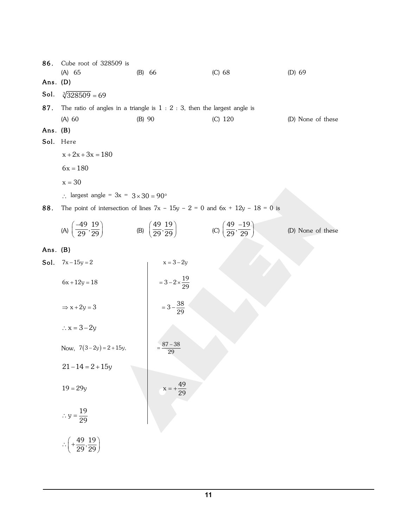86. Cube root of 328509 is  $(A) 65$  $(B) 66$  $(C)$  68 (D) 69 Ans.  $(D)$ Sol.  $\sqrt[3]{328509} = 69$ 87. The ratio of angles in a triangle is  $1:2:3$ , then the largest angle is  $(A)$  60  $(B) 90$  $(C)$  120 (D) None of these Ans. (B) Sol. Here  $x + 2x + 3x = 180$  $6x = 180$  $x = 30$ : largest angle =  $3x = 3 \times 30 = 90^{\circ}$ 88. The point of intersection of lines  $7x - 15y - 2 = 0$  and  $6x + 12y - 18 = 0$  is (A)  $\left(\frac{-49}{29}, \frac{19}{29}\right)$  (B)  $\left(\frac{49}{29}, \frac{19}{29}\right)$  (C)  $\left(\frac{49}{29}, \frac{-19}{29}\right)$ (D) None of these Ans. (B) **Sol.**  $7x-15y=2$  $x = 3 - 2y$  $=3-2\times\frac{19}{29}$  $6x + 12y = 18$  $=3-\frac{38}{29}$  $\Rightarrow$  x + 2y = 3  $\therefore$  x = 3 – 2y  $87 - 38$ Now,  $7(3-2y) = 2 + 15y$ ,  $\overline{29}$  $21 - 14 = 2 + 15y$  $x = +\frac{49}{29}$  $19 = 29y$  $\therefore y = \frac{19}{29}$  $\therefore \left(+\frac{49}{29},\frac{19}{29}\right)$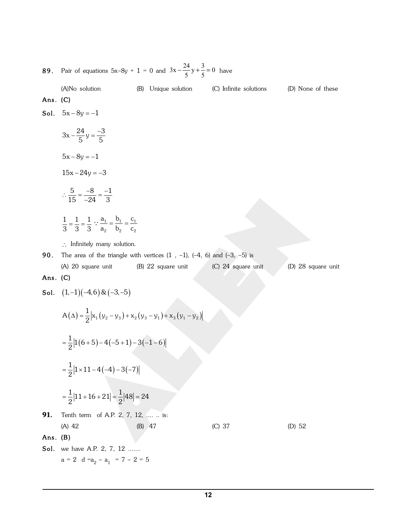**89.** Pair of equations  $5x-8y + 1 = 0$  and  $3x - \frac{24}{5}y + \frac{3}{5} = 0$  have

(A)No solution (B) Unique solution (C) Infinite solutions

(D) None of these

#### Ans.  $(C)$

$$
Sol. \quad 5x - 8y = -1
$$

 $3x - \frac{24}{5}y = \frac{-3}{5}$  $5x - 8y = -1$  $15x - 24y = -3$  $\therefore \frac{5}{15} = \frac{-8}{-24} = \frac{-1}{3}$  $\frac{1}{3} = \frac{1}{3} = \frac{1}{3}$  :  $\frac{a_1}{a_2} = \frac{b_1}{b_2} = \frac{c_1}{c_2}$ 

 $\therefore$  Infinitely many solution.

**90.** The area of the triangle with vertices  $(1, -1)$ ,  $(-4, 6)$  and  $(-3, -5)$  is (B) 22 square unit (C) 24 square unit (A) 20 square unit (D) 28 square unit

### Ans. (C)

Sol.  $(1,-1)(-4,6)$  &  $(-3,-5)$ 

$$
A(\Delta) = \frac{1}{2} |x_1 (y_2 - y_3) + x_2 (y_3 - y_1) + x_3 (y_1 - y_2)
$$

$$
=\frac{1}{2}\left|1(6+5)-4(-5+1)-3(-1-6)\right|
$$

$$
=\frac{1}{2}|1\times11-4(-4)-3(-7)|
$$

$$
=\frac{1}{2}|11+16+21|=\frac{1}{2}|48|=24
$$

91. Tenth term of A.P. 2, 7, 12, .... .. is:  $(A) 42$  $(B)$  47

(C) 37

 $(D)$  52

#### Ans.  $(B)$

Sol. we have A.P. 2, 7, 12 .......  $a = 2 d = a_2 - a_1 = 7 - 2 = 5$ 

 $12$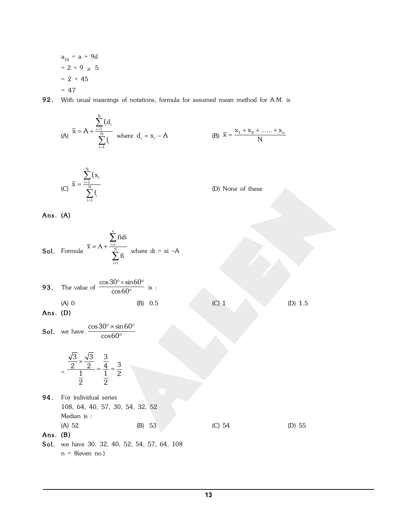$$
a_{10} = a + 9d
$$
  
= 2 + 9 × 5  
= 2 + 45  
= 47

92. With usual meanings of notations, formula for assumed mean method for A.M. is

(A) 
$$
\bar{x} = A + \frac{\sum_{i=1}^{N} f_i d_i}{\sum_{i=1}^{N} f_i}
$$
 where  $d_i = x_i - A$   
\n(B)  $\bar{x} = \frac{x_1 + x_2 + \dots + x_n}{N}$   
\n(C)  $\bar{x} = \frac{\sum_{i=1}^{N} f_i x_i}{\sum_{i=1}^{N} f_i}$   
\n(D) None of these  
\nAns. (A)  
\nSoI. Formula  $\frac{\bar{x}}{x} = \frac{\sum_{i=1}^{n} f_i d_i}{\sum_{i=1}^{N} f_i}$   
\n(D) None of these  
\n $\sum_{i=1}^{N} f_i$   
\n33. The value of  $\frac{\cos 30^\circ \times \sin 60^\circ}{\cos 60^\circ}$  is:  
\n(A) 0 (B) 0.5  
\n40. (D) 1.5  
\n(b) 1.5  
\n41. For individual series  
\n108, 64, 40, 57, 30, 54, 32, 52  
\nMedian is:  
\n(A) 52 (B) 53 (C) 54 (D) 55  
\nAns. (B)  
\nSoI. we have 30, 32, 40, 52, 54, 57, 64, 108  
\n $n = 8(\text{even no.})$   
\n(b) 55  
\n $\sum_{i=1}^{N} f_i$   
\n(c) 54 (D) 55  
\n $\sum_{i=1}^{N} f_i$   
\n(d) 52 (E) 53 (E) 53 (E) 54 (E) 52 (E) 53 (E) 54 (E) 55  
\n $\sum_{i=1}^{N} f_i$   
\n $\sum_{i=1}^{N} f_i$   
\n10.  $\sum_{i=1}^{N} f_i$   
\n11.  $\sum_{i=1}^{N} f_i$   
\n12.  $\sum_{i=1}^{N} f_i$   
\n13.  $\sum_{i=1}^{N} f_i$   
\n14.  $\sum_{i=1}^{N} f_i$   
\n15.  $\sum_{i=1}^{N} f_i$   
\n16.  $\sum_{i=1}^{N} f_i$   
\n17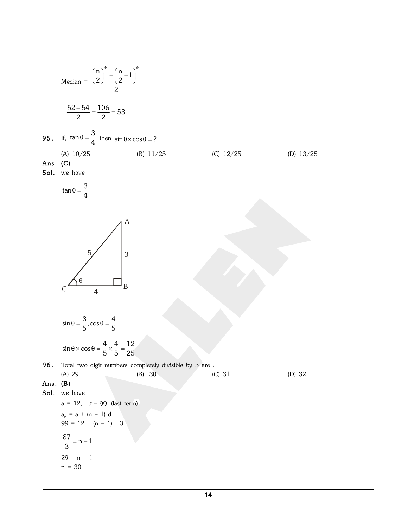